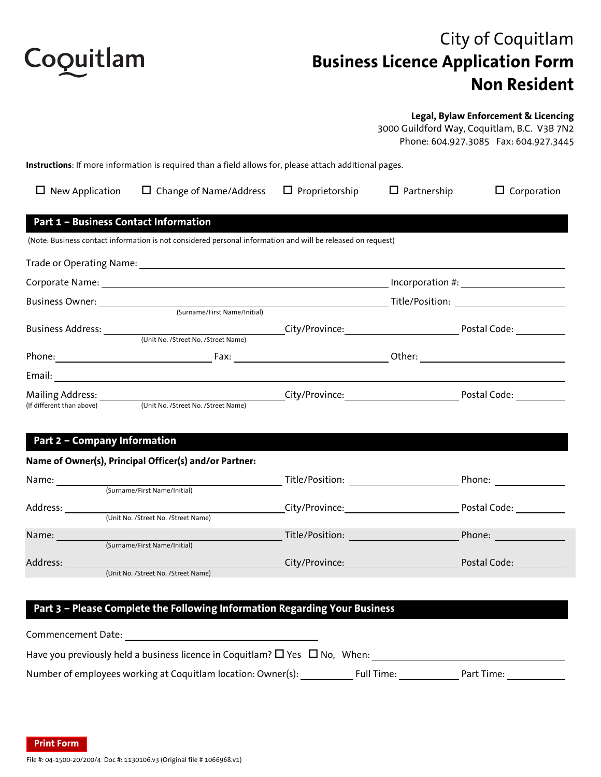

# City of Coquitlam **Business Licence Application Form Non Resident**

#### **Legal, Bylaw Enforcement & Licencing**

3000 Guildford Way, Coquitlam, B.C. V3B 7N2 Phone: 604.927.3085 Fax: 604.927.3445

**Instructions**: If more information is required than a field allows for, please attach additional pages.

| New Application                              | $\Box$ Change of Name/Address                                                                                                                                                                                                  | $\Box$ Proprietorship                                    | $\Box$ Partnership    | $\Box$ Corporation |  |
|----------------------------------------------|--------------------------------------------------------------------------------------------------------------------------------------------------------------------------------------------------------------------------------|----------------------------------------------------------|-----------------------|--------------------|--|
| <b>Part 1 - Business Contact Information</b> |                                                                                                                                                                                                                                |                                                          |                       |                    |  |
|                                              | (Note: Business contact information is not considered personal information and will be released on request)                                                                                                                    |                                                          |                       |                    |  |
|                                              |                                                                                                                                                                                                                                |                                                          |                       |                    |  |
|                                              |                                                                                                                                                                                                                                |                                                          | Incorporation #: $\_$ |                    |  |
|                                              |                                                                                                                                                                                                                                | Business Owner: <u>2000 (Surname/First Name/Initial)</u> |                       |                    |  |
|                                              |                                                                                                                                                                                                                                |                                                          |                       |                    |  |
|                                              | (Unit No. /Street No. /Street Name)                                                                                                                                                                                            |                                                          |                       |                    |  |
|                                              | Phone: The Contract of Contract Contract Contract Contract Contract Contract Contract Contract Contract Contract Contract Contract Contract Contract Contract Contract Contract Contract Contract Contract Contract Contract C |                                                          |                       |                    |  |
|                                              |                                                                                                                                                                                                                                |                                                          |                       |                    |  |
|                                              |                                                                                                                                                                                                                                |                                                          |                       | Postal Code:       |  |
| (If different than above)                    | (Unit No. /Street No. /Street Name)                                                                                                                                                                                            |                                                          |                       |                    |  |
|                                              |                                                                                                                                                                                                                                |                                                          |                       |                    |  |

#### **Part 2 – Company Information**

#### **Name of Owner(s), Principal Officer(s) and/or Partner:**

| Name:    |                                     | Title/Position: | Phone:       |
|----------|-------------------------------------|-----------------|--------------|
|          | (Surname/First Name/Initial)        |                 |              |
| Address: |                                     | City/Province:  | Postal Code: |
|          | (Unit No. /Street No. /Street Name) |                 |              |
| Name:    |                                     | Title/Position: | Phone:       |
|          | (Surname/First Name/Initial)        |                 |              |
| Address: |                                     | City/Province:  | Postal Code: |
|          | (Unit No. /Street No. /Street Name) |                 |              |

### **Part 3 – Please Complete the Following Information Regarding Your Business**

| Commencement Date:                                                                          |            |            |  |
|---------------------------------------------------------------------------------------------|------------|------------|--|
| Have you previously held a business licence in Coquitlam? $\square$ Yes $\square$ No, When: |            |            |  |
| Number of employees working at Coquitlam location: Owner(s):                                | Full Time: | Part Time: |  |

**Print Form**